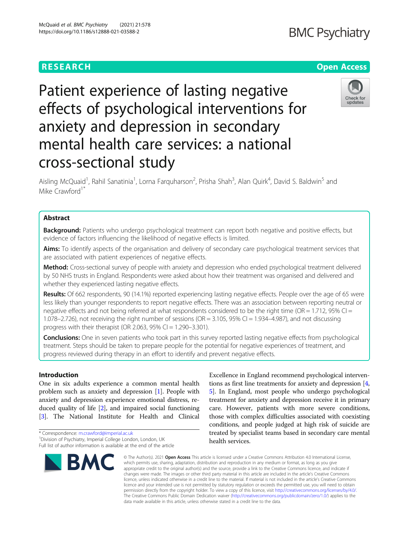### **RESEARCH CHE Open Access**

# Patient experience of lasting negative effects of psychological interventions for anxiety and depression in secondary mental health care services: a national cross-sectional study

Aisling McQuaid<sup>1</sup>, Rahil Sanatinia<sup>1</sup>, Lorna Farquharson<sup>2</sup>, Prisha Shah<sup>3</sup>, Alan Quirk<sup>4</sup>, David S. Baldwin<sup>5</sup> and Mike Crawford<sup>1\*</sup>

#### Abstract

**Background:** Patients who undergo psychological treatment can report both negative and positive effects, but evidence of factors influencing the likelihood of negative effects is limited.

Aims: To identify aspects of the organisation and delivery of secondary care psychological treatment services that are associated with patient experiences of negative effects.

Method: Cross-sectional survey of people with anxiety and depression who ended psychological treatment delivered by 50 NHS trusts in England. Respondents were asked about how their treatment was organised and delivered and whether they experienced lasting negative effects.

Results: Of 662 respondents, 90 (14.1%) reported experiencing lasting negative effects. People over the age of 65 were less likely than younger respondents to report negative effects. There was an association between reporting neutral or negative effects and not being referred at what respondents considered to be the right time (OR = 1.712, 95% CI = 1.078–2.726), not receiving the right number of sessions (OR = 3.105, 95% CI = 1.934–4.987), and not discussing progress with their therapist (OR 2.063, 95% CI = 1.290-3.301).

Conclusions: One in seven patients who took part in this survey reported lasting negative effects from psychological treatment. Steps should be taken to prepare people for the potential for negative experiences of treatment, and progress reviewed during therapy in an effort to identify and prevent negative effects.

#### Introduction

One in six adults experience a common mental health problem such as anxiety and depression [[1\]](#page-6-0). People with anxiety and depression experience emotional distress, reduced quality of life [\[2](#page-6-0)], and impaired social functioning [[3\]](#page-6-0). The National Institute for Health and Clinical

<sup>1</sup> Division of Psychiatry, Imperial College London, London, UK



Full list of author information is available at the end of the article

licence, unless indicated otherwise in a credit line to the material. If material is not included in the article's Creative Commons licence and your intended use is not permitted by statutory regulation or exceeds the permitted use, you will need to obtain permission directly from the copyright holder. To view a copy of this licence, visit [http://creativecommons.org/licenses/by/4.0/.](http://creativecommons.org/licenses/by/4.0/) The Creative Commons Public Domain Dedication waiver [\(http://creativecommons.org/publicdomain/zero/1.0/](http://creativecommons.org/publicdomain/zero/1.0/)) applies to the data made available in this article, unless otherwise stated in a credit line to the data.

© The Author(s), 2021 **Open Access** This article is licensed under a Creative Commons Attribution 4.0 International License, which permits use, sharing, adaptation, distribution and reproduction in any medium or format, as long as you give appropriate credit to the original author(s) and the source, provide a link to the Creative Commons licence, and indicate if changes were made. The images or other third party material in this article are included in the article's Creative Commons

Excellence in England recommend psychological interventions as first line treatments for anxiety and depression [[4](#page-6-0), [5\]](#page-6-0). In England, most people who undergo psychological treatment for anxiety and depression receive it in primary care. However, patients with more severe conditions, those with complex difficulties associated with coexisting conditions, and people judged at high risk of suicide are treated by specialist teams based in secondary care mental health services.





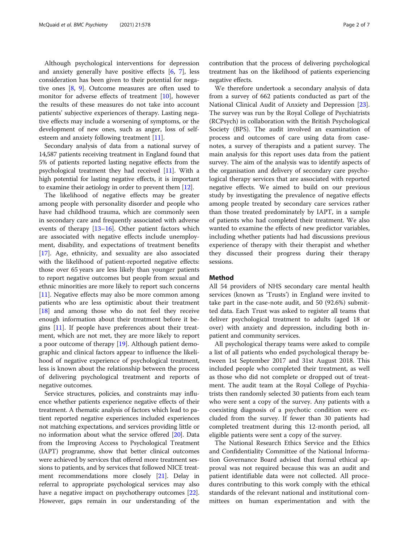Although psychological interventions for depression and anxiety generally have positive effects [\[6](#page-6-0), [7](#page-6-0)], less consideration has been given to their potential for negative ones [[8,](#page-6-0) [9\]](#page-6-0). Outcome measures are often used to monitor for adverse effects of treatment [[10](#page-6-0)], however the results of these measures do not take into account patients' subjective experiences of therapy. Lasting negative effects may include a worsening of symptoms, or the development of new ones, such as anger, loss of selfesteem and anxiety following treatment [[11\]](#page-6-0).

Secondary analysis of data from a national survey of 14,587 patients receiving treatment in England found that 5% of patients reported lasting negative effects from the psychological treatment they had received [\[11\]](#page-6-0). With a high potential for lasting negative effects, it is important to examine their aetiology in order to prevent them [[12\]](#page-6-0).

The likelihood of negative effects may be greater among people with personality disorder and people who have had childhood trauma, which are commonly seen in secondary care and frequently associated with adverse events of therapy [\[13](#page-6-0)–[16\]](#page-6-0). Other patient factors which are associated with negative effects include unemployment, disability, and expectations of treatment benefits [[17\]](#page-6-0). Age, ethnicity, and sexuality are also associated with the likelihood of patient-reported negative effects: those over 65 years are less likely than younger patients to report negative outcomes but people from sexual and ethnic minorities are more likely to report such concerns [[11\]](#page-6-0). Negative effects may also be more common among patients who are less optimistic about their treatment [[18\]](#page-6-0) and among those who do not feel they receive enough information about their treatment before it begins [[11\]](#page-6-0). If people have preferences about their treatment, which are not met, they are more likely to report a poor outcome of therapy [[19\]](#page-6-0). Although patient demographic and clinical factors appear to influence the likelihood of negative experience of psychological treatment, less is known about the relationship between the process of delivering psychological treatment and reports of negative outcomes.

Service structures, policies, and constraints may influence whether patients experience negative effects of their treatment. A thematic analysis of factors which lead to patient reported negative experiences included experiences not matching expectations, and services providing little or no information about what the service offered [\[20\]](#page-6-0). Data from the Improving Access to Psychological Treatment (IAPT) programme, show that better clinical outcomes were achieved by services that offered more treatment sessions to patients, and by services that followed NICE treatment recommendations more closely [\[21\]](#page-6-0). Delay in referral to appropriate psychological services may also have a negative impact on psychotherapy outcomes [[22](#page-6-0)]. However, gaps remain in our understanding of the

contribution that the process of delivering psychological treatment has on the likelihood of patients experiencing negative effects.

We therefore undertook a secondary analysis of data from a survey of 662 patients conducted as part of the National Clinical Audit of Anxiety and Depression [\[23](#page-6-0)]. The survey was run by the Royal College of Psychiatrists (RCPsych) in collaboration with the British Psychological Society (BPS). The audit involved an examination of process and outcomes of care using data from casenotes, a survey of therapists and a patient survey. The main analysis for this report uses data from the patient survey. The aim of the analysis was to identify aspects of the organisation and delivery of secondary care psychological therapy services that are associated with reported negative effects. We aimed to build on our previous study by investigating the prevalence of negative effects among people treated by secondary care services rather than those treated predominately by IAPT, in a sample of patients who had completed their treatment. We also wanted to examine the effects of new predictor variables, including whether patients had had discussions previous experience of therapy with their therapist and whether they discussed their progress during their therapy sessions.

#### Method

All 54 providers of NHS secondary care mental health services (known as 'Trusts') in England were invited to take part in the case-note audit, and 50 (92.6%) submitted data. Each Trust was asked to register all teams that deliver psychological treatment to adults (aged 18 or over) with anxiety and depression, including both inpatient and community services.

All psychological therapy teams were asked to compile a list of all patients who ended psychological therapy between 1st September 2017 and 31st August 2018. This included people who completed their treatment, as well as those who did not complete or dropped out of treatment. The audit team at the Royal College of Psychiatrists then randomly selected 30 patients from each team who were sent a copy of the survey. Any patients with a coexisting diagnosis of a psychotic condition were excluded from the survey. If fewer than 30 patients had completed treatment during this 12-month period, all eligible patients were sent a copy of the survey.

The National Research Ethics Service and the Ethics and Confidentiality Committee of the National Information Governance Board advised that formal ethical approval was not required because this was an audit and patient identifiable data were not collected. All procedures contributing to this work comply with the ethical standards of the relevant national and institutional committees on human experimentation and with the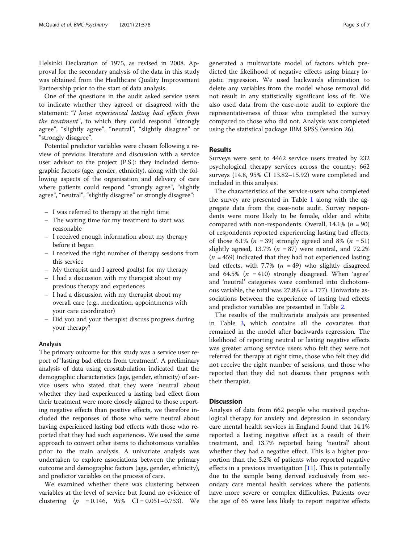Helsinki Declaration of 1975, as revised in 2008. Approval for the secondary analysis of the data in this study was obtained from the Healthcare Quality Improvement Partnership prior to the start of data analysis.

One of the questions in the audit asked service users to indicate whether they agreed or disagreed with the statement: "I have experienced lasting bad effects from the treatment", to which they could respond "strongly agree", "slightly agree", "neutral", "slightly disagree" or "strongly disagree".

Potential predictor variables were chosen following a review of previous literature and discussion with a service user advisor to the project (P.S.): they included demographic factors (age, gender, ethnicity), along with the following aspects of the organisation and delivery of care where patients could respond "strongly agree", "slightly agree", "neutral", "slightly disagree" or strongly disagree":

- I was referred to therapy at the right time
- The waiting time for my treatment to start was reasonable
- I received enough information about my therapy before it began
- I received the right number of therapy sessions from this service
- My therapist and I agreed goal(s) for my therapy
- I had a discussion with my therapist about my previous therapy and experiences
- I had a discussion with my therapist about my overall care (e.g., medication, appointments with your care coordinator)
- Did you and your therapist discuss progress during your therapy?

#### Analysis

The primary outcome for this study was a service user report of 'lasting bad effects from treatment'. A preliminary analysis of data using crosstabulation indicated that the demographic characteristics (age, gender, ethnicity) of service users who stated that they were 'neutral' about whether they had experienced a lasting bad effect from their treatment were more closely aligned to those reporting negative effects than positive effects, we therefore included the responses of those who were neutral about having experienced lasting bad effects with those who reported that they had such experiences. We used the same approach to convert other items to dichotomous variables prior to the main analysis. A univariate analysis was undertaken to explore associations between the primary outcome and demographic factors (age, gender, ethnicity), and predictor variables on the process of care.

We examined whether there was clustering between variables at the level of service but found no evidence of clustering  $(p = 0.146, 95\% \text{ CI} = 0.051 - 0.753)$ . We generated a multivariate model of factors which predicted the likelihood of negative effects using binary logistic regression. We used backwards elimination to delete any variables from the model whose removal did not result in any statistically significant loss of fit. We also used data from the case-note audit to explore the representativeness of those who completed the survey compared to those who did not. Analysis was completed using the statistical package IBM SPSS (version 26).

#### Results

Surveys were sent to 4462 service users treated by 232 psychological therapy services across the country: 662 surveys (14.8, 95% CI 13.82–15.92) were completed and included in this analysis.

The characteristics of the service-users who completed the survey are presented in Table [1](#page-3-0) along with the aggregate data from the case-note audit. Survey respondents were more likely to be female, older and white compared with non-respondents. Overall,  $14.1\%$  ( $n = 90$ ) of respondents reported experiencing lasting bad effects, of those 6.1% ( $n = 39$ ) strongly agreed and 8% ( $n = 51$ ) slightly agreed, 13.7% ( $n = 87$ ) were neutral, and 72.2%  $(n = 459)$  indicated that they had not experienced lasting bad effects, with 7.7% ( $n = 49$ ) who slightly disagreed and 64.5%  $(n = 410)$  strongly disagreed. When 'agree' and 'neutral' categories were combined into dichotomous variable, the total was  $27.8\%$  ( $n = 177$ ). Univariate associations between the experience of lasting bad effects and predictor variables are presented in Table [2](#page-4-0).

The results of the multivariate analysis are presented in Table [3](#page-5-0), which contains all the covariates that remained in the model after backwards regression. The likelihood of reporting neutral or lasting negative effects was greater among service users who felt they were not referred for therapy at right time, those who felt they did not receive the right number of sessions, and those who reported that they did not discuss their progress with their therapist.

#### **Discussion**

Analysis of data from 662 people who received psychological therapy for anxiety and depression in secondary care mental health services in England found that 14.1% reported a lasting negative effect as a result of their treatment, and 13.7% reported being 'neutral' about whether they had a negative effect. This is a higher proportion than the 5.2% of patients who reported negative effects in a previous investigation [\[11\]](#page-6-0). This is potentially due to the sample being derived exclusively from secondary care mental health services where the patients have more severe or complex difficulties. Patients over the age of 65 were less likely to report negative effects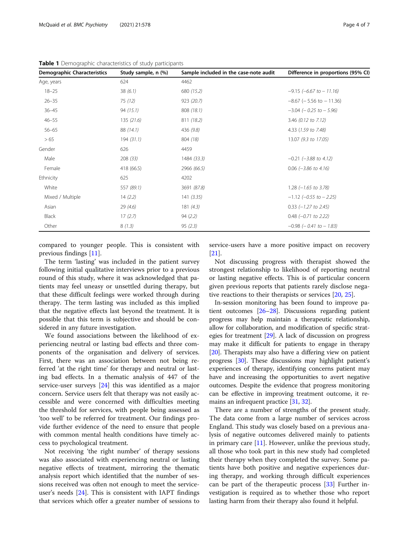| <b>Demographic Characteristics</b> | Study sample, n (%) | Sample included in the case-note audit | Difference in proportions (95% CI) |
|------------------------------------|---------------------|----------------------------------------|------------------------------------|
| Age, years                         | 624                 | 4462                                   |                                    |
| $18 - 25$                          | 38(6.1)             | 680 (15.2)                             | $-9.15$ ( $-6.67$ to $-11.16$ )    |
| $26 - 35$                          | 75 (12)             | 923 (20.7)                             | $-8.67$ ( $-5.56$ to $-11.36$ )    |
| $36 - 45$                          | 94(15.1)            | 808 (18.1)                             | $-3.04$ ( $-0.25$ to $-5.96$ )     |
| $46 - 55$                          | 135(21.6)           | 811 (18.2)                             | 3.46 (0.12 to 7.12)                |
| $56 - 65$                          | 88 (14.1)           | 436 (9.8)                              | 4.33 (1.59 to 7.48)                |
| > 65                               | 194(31.1)           | 804 (18)                               | 13.07 (9.3 to 17.05)               |
| Gender                             | 626                 | 4459                                   |                                    |
| Male                               | 208(33)             | 1484 (33.3)                            | $-0.21$ ( $-3.88$ to 4.12)         |
| Female                             | 418 (66.5)          | 2966 (66.5)                            | $0.06$ (-3.86 to 4.16)             |
| Ethnicity                          | 625                 | 4202                                   |                                    |
| White                              | 557 (89.1)          | 3691 (87.8)                            | $1.28$ ( $-1.65$ to 3.78)          |
| Mixed / Multiple                   | 14(2.2)             | 141(3.35)                              | $-1.12$ (-0.55 to $-2.25$ )        |
| Asian                              | 29(4.6)             | 181(4.3)                               | $0.33$ ( $-1.27$ to 2.45)          |
| Black                              | 17(2.7)             | 94(2.2)                                | $0.48$ (-0.71 to 2.22)             |
| Other                              | 8(1.3)              | 95(2.3)                                | $-0.98$ ( $-0.41$ to $-1.83$ )     |

<span id="page-3-0"></span>Table 1 Demographic characteristics of study participants

compared to younger people. This is consistent with previous findings [[11\]](#page-6-0).

The term 'lasting' was included in the patient survey following initial qualitative interviews prior to a previous round of this study, where it was acknowledged that patients may feel uneasy or unsettled during therapy, but that these difficult feelings were worked through during therapy. The term lasting was included as this implied that the negative effects last beyond the treatment. It is possible that this term is subjective and should be considered in any future investigation.

We found associations between the likelihood of experiencing neutral or lasting bad effects and three components of the organisation and delivery of services. First, there was an association between not being referred 'at the right time' for therapy and neutral or lasting bad effects. In a thematic analysis of 447 of the service-user surveys [[24\]](#page-6-0) this was identified as a major concern. Service users felt that therapy was not easily accessible and were concerned with difficulties meeting the threshold for services, with people being assessed as 'too well' to be referred for treatment. Our findings provide further evidence of the need to ensure that people with common mental health conditions have timely access to psychological treatment.

Not receiving 'the right number' of therapy sessions was also associated with experiencing neutral or lasting negative effects of treatment, mirroring the thematic analysis report which identified that the number of sessions received was often not enough to meet the serviceuser's needs  $[24]$  $[24]$ . This is consistent with IAPT findings that services which offer a greater number of sessions to service-users have a more positive impact on recovery [[21\]](#page-6-0).

Not discussing progress with therapist showed the strongest relationship to likelihood of reporting neutral or lasting negative effects. This is of particular concern given previous reports that patients rarely disclose negative reactions to their therapists or services [\[20,](#page-6-0) [25\]](#page-6-0).

In-session monitoring has been found to improve patient outcomes [\[26](#page-6-0)–[28](#page-6-0)]. Discussions regarding patient progress may help maintain a therapeutic relationship, allow for collaboration, and modification of specific strategies for treatment [[29\]](#page-6-0). A lack of discussion on progress may make it difficult for patients to engage in therapy [[20](#page-6-0)]. Therapists may also have a differing view on patient progress [\[30\]](#page-6-0). These discussions may highlight patient's experiences of therapy, identifying concerns patient may have and increasing the opportunities to avert negative outcomes. Despite the evidence that progress monitoring can be effective in improving treatment outcome, it remains an infrequent practice [\[31,](#page-6-0) [32\]](#page-6-0).

There are a number of strengths of the present study. The data come from a large number of services across England. This study was closely based on a previous analysis of negative outcomes delivered mainly to patients in primary care  $[11]$  $[11]$  $[11]$ . However, unlike the previous study, all those who took part in this new study had completed their therapy when they completed the survey. Some patients have both positive and negative experiences during therapy, and working through difficult experiences can be part of the therapeutic process [[33\]](#page-6-0) Further investigation is required as to whether those who report lasting harm from their therapy also found it helpful.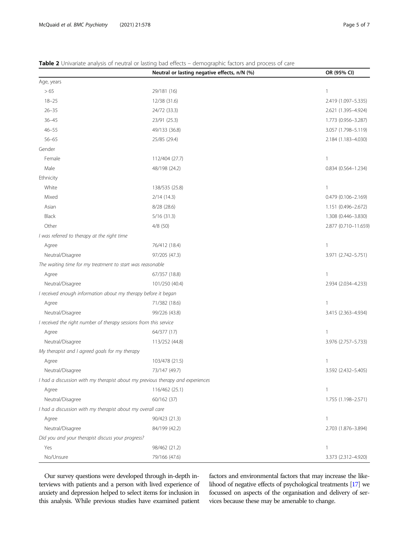|                                                                   | Neutral or lasting negative effects, n/N (%)                                   | OR (95% CI)          |
|-------------------------------------------------------------------|--------------------------------------------------------------------------------|----------------------|
| Age, years                                                        |                                                                                |                      |
| > 65                                                              | 29/181 (16)                                                                    | $\mathbf{1}$         |
| $18 - 25$                                                         | 12/38 (31.6)                                                                   | 2.419 (1.097-5.335)  |
| $26 - 35$                                                         | 24/72 (33.3)                                                                   | 2.621 (1.395-4.924)  |
| $36 - 45$                                                         | 23/91 (25.3)                                                                   | 1.773 (0.956-3.287)  |
| $46 - 55$                                                         | 49/133 (36.8)                                                                  | 3.057 (1.798-5.119)  |
| $56 - 65$                                                         | 25/85 (29.4)                                                                   | 2.184 (1.183-4.030)  |
| Gender                                                            |                                                                                |                      |
| Female                                                            | 112/404 (27.7)                                                                 | 1                    |
| Male                                                              | 48/198 (24.2)                                                                  | 0.834 (0.564-1.234)  |
| Ethnicity                                                         |                                                                                |                      |
| White                                                             | 138/535 (25.8)                                                                 | 1                    |
| Mixed                                                             | 2/14(14.3)                                                                     | 0.479 (0.106-2.169)  |
| Asian                                                             | 8/28 (28.6)                                                                    | 1.151 (0.496-2.672)  |
| Black                                                             | 5/16(31.3)                                                                     | 1.308 (0.446-3.830)  |
| Other                                                             | 4/8(50)                                                                        | 2.877 (0.710-11.659) |
| I was referred to therapy at the right time                       |                                                                                |                      |
| Agree                                                             | 76/412 (18.4)                                                                  | 1                    |
| Neutral/Disagree                                                  | 97/205 (47.3)                                                                  | 3.971 (2.742-5.751)  |
| The waiting time for my treatment to start was reasonable         |                                                                                |                      |
| Agree                                                             | 67/357 (18.8)                                                                  | 1                    |
| Neutral/Disagree                                                  | 101/250 (40.4)                                                                 | 2.934 (2.034-4.233)  |
| I received enough information about my therapy before it began    |                                                                                |                      |
| Agree                                                             | 71/382 (18.6)                                                                  | 1                    |
| Neutral/Disagree                                                  | 99/226 (43.8)                                                                  | 3.415 (2.363-4.934)  |
| I received the right number of therapy sessions from this service |                                                                                |                      |
| Agree                                                             | 64/377 (17)                                                                    | 1                    |
| Neutral/Disagree                                                  | 113/252 (44.8)                                                                 | 3.976 (2.757-5.733)  |
| My therapist and I agreed goals for my therapy                    |                                                                                |                      |
| Agree                                                             | 103/478 (21.5)                                                                 | 1                    |
| Neutral/Disagree                                                  | 73/147 (49.7)                                                                  | 3.592 (2.432-5.405)  |
|                                                                   | I had a discussion with my therapist about my previous therapy and experiences |                      |
| Agree                                                             | 116/462 (25.1)                                                                 | $\mathbf{1}$         |
| Neutral/Disagree                                                  | 60/162 (37)                                                                    | 1.755 (1.198-2.571)  |
| I had a discussion with my therapist about my overall care        |                                                                                |                      |
| Agree                                                             | 90/423 (21.3)                                                                  | 1                    |
| Neutral/Disagree                                                  | 84/199 (42.2)                                                                  | 2.703 (1.876-3.894)  |
| Did you and your therapist discuss your progress?                 |                                                                                |                      |
| Yes                                                               | 98/462 (21.2)                                                                  | 1                    |

No/Unsure 79/166 (47.6) 3.373 (2.312–4.920)

## <span id="page-4-0"></span>Table 2 Univariate analysis of neutral or lasting bad effects – demographic factors and process of care  $\frac{\text{Tail}}{\text{Age}}$

Our survey questions were developed through in-depth interviews with patients and a person with lived experience of anxiety and depression helped to select items for inclusion in this analysis. While previous studies have examined patient factors and environmental factors that may increase the likelihood of negative effects of psychological treatments [[17\]](#page-6-0) we focussed on aspects of the organisation and delivery of services because these may be amenable to change.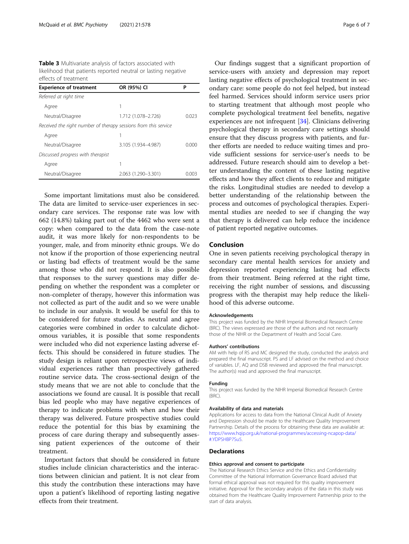<span id="page-5-0"></span>Table 3 Multivariate analysis of factors associated with likelihood that patients reported neutral or lasting negative effects of treatment

| <b>Experience of treatment</b>                                  | OR (95%) CI         | Ρ      |
|-----------------------------------------------------------------|---------------------|--------|
| Referred at right time                                          |                     |        |
| Agree                                                           | 1                   |        |
| Neutral/Disagree                                                | 1.712 (1.078-2.726) | 0023   |
| Received the right number of therapy sessions from this service |                     |        |
| Agree                                                           |                     |        |
| Neutral/Disagree                                                | 3.105 (1.934-4.987) | 0.000  |
| Discussed progress with therapist                               |                     |        |
| Agree                                                           | 1                   |        |
| Neutral/Disagree                                                | 2.063 (1.290-3.301) | (1()() |

Some important limitations must also be considered. The data are limited to service-user experiences in secondary care services. The response rate was low with 662 (14.8%) taking part out of the 4462 who were sent a copy: when compared to the data from the case-note audit, it was more likely for non-respondents to be younger, male, and from minority ethnic groups. We do not know if the proportion of those experiencing neutral or lasting bad effects of treatment would be the same among those who did not respond. It is also possible that responses to the survey questions may differ depending on whether the respondent was a completer or non-completer of therapy, however this information was not collected as part of the audit and so we were unable to include in our analysis. It would be useful for this to be considered for future studies. As neutral and agree categories were combined in order to calculate dichotomous variables, it is possible that some respondents were included who did not experience lasting adverse effects. This should be considered in future studies. The study design is reliant upon retrospective views of individual experiences rather than prospectively gathered routine service data. The cross-sectional design of the study means that we are not able to conclude that the associations we found are causal. It is possible that recall bias led people who may have negative experiences of therapy to indicate problems with when and how their therapy was delivered. Future prospective studies could reduce the potential for this bias by examining the process of care during therapy and subsequently assessing patient experiences of the outcome of their treatment.

Important factors that should be considered in future studies include clinician characteristics and the interactions between clinician and patient. It is not clear from this study the contribution these interactions may have upon a patient's likelihood of reporting lasting negative effects from their treatment.

Our findings suggest that a significant proportion of service-users with anxiety and depression may report lasting negative effects of psychological treatment in secondary care: some people do not feel helped, but instead feel harmed. Services should inform service users prior to starting treatment that although most people who complete psychological treatment feel benefits, negative experiences are not infrequent [[34\]](#page-6-0). Clinicians delivering psychological therapy in secondary care settings should ensure that they discuss progress with patients, and further efforts are needed to reduce waiting times and provide sufficient sessions for service-user's needs to be addressed. Future research should aim to develop a better understanding the content of these lasting negative effects and how they affect clients to reduce and mitigate the risks. Longitudinal studies are needed to develop a better understanding of the relationship between the process and outcomes of psychological therapies. Experimental studies are needed to see if changing the way that therapy is delivered can help reduce the incidence of patient reported negative outcomes.

#### Conclusion

One in seven patients receiving psychological therapy in secondary care mental health services for anxiety and depression reported experiencing lasting bad effects from their treatment. Being referred at the right time, receiving the right number of sessions, and discussing progress with the therapist may help reduce the likelihood of this adverse outcome.

#### Acknowledgements

This project was funded by the NIHR Imperial Biomedical Research Centre (BRC). The views expressed are those of the authors and not necessarily those of the NIHR or the Department of Health and Social Care.

#### Authors' contributions

AM with help of RS and MC designed the study, conducted the analysis and prepared the final manuscript. PS and LF advised on the method and choice of variables. LF, AQ and DSB reviewed and approved the final manuscript. The author(s) read and approved the final manuscript.

#### Funding

This project was funded by the NIHR Imperial Biomedical Research Centre (BRC).

#### Availability of data and materials

Applications for access to data from the National Clinical Audit of Anxiety and Depression should be made to the Healthcare Quality Improvement Partnership. Details of the process for obtaining these data are available at: [https://www.hqip.org.uk/national-programmes/accessing-ncapop-data/](https://www.hqip.org.uk/national-programmes/accessing-ncapop-data/#.YDPSHBP7Su5) [#.YDPSHBP7Su5.](https://www.hqip.org.uk/national-programmes/accessing-ncapop-data/#.YDPSHBP7Su5)

#### **Declarations**

#### Ethics approval and consent to participate

The National Research Ethics Service and the Ethics and Confidentiality Committee of the National Information Governance Board advised that formal ethical approval was not required for this quality improvement initiative. Approval for the secondary analysis of the data in this study was obtained from the Healthcare Quality Improvement Partnership prior to the start of data analysis.